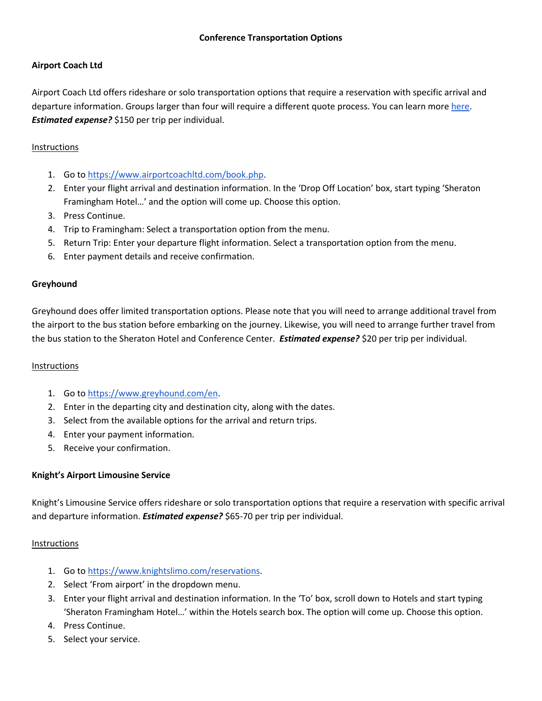## **Airport Coach Ltd**

Airport Coach Ltd offers rideshare or solo transportation options that require a reservation with specific arrival and departure information. Groups larger than four will require a different quote process. You can learn more [here.](https://www.airportcoachltd.com/faqs.php) *Estimated expense?* \$150 per trip per individual.

### Instructions

- 1. Go to [https://www.airportcoachltd.com/book.php.](https://www.airportcoachltd.com/book.php)
- 2. Enter your flight arrival and destination information. In the 'Drop Off Location' box, start typing 'Sheraton Framingham Hotel…' and the option will come up. Choose this option.
- 3. Press Continue.
- 4. Trip to Framingham: Select a transportation option from the menu.
- 5. Return Trip: Enter your departure flight information. Select a transportation option from the menu.
- 6. Enter payment details and receive confirmation.

#### **Greyhound**

Greyhound does offer limited transportation options. Please note that you will need to arrange additional travel from the airport to the bus station before embarking on the journey. Likewise, you will need to arrange further travel from the bus station to the Sheraton Hotel and Conference Center. *Estimated expense?* \$20 per trip per individual.

#### Instructions

- 1. Go to [https://www.greyhound.com/en.](https://www.greyhound.com/en)
- 2. Enter in the departing city and destination city, along with the dates.
- 3. Select from the available options for the arrival and return trips.
- 4. Enter your payment information.
- 5. Receive your confirmation.

#### **Knight's Airport Limousine Service**

Knight's Limousine Service offers rideshare or solo transportation options that require a reservation with specific arrival and departure information. *Estimated expense?* \$65-70 per trip per individual.

#### Instructions

- 1. Go to [https://www.knightslimo.com/reservations.](https://www.knightslimo.com/reservations)
- 2. Select 'From airport' in the dropdown menu.
- 3. Enter your flight arrival and destination information. In the 'To' box, scroll down to Hotels and start typing 'Sheraton Framingham Hotel…' within the Hotels search box. The option will come up. Choose this option.
- 4. Press Continue.
- 5. Select your service.